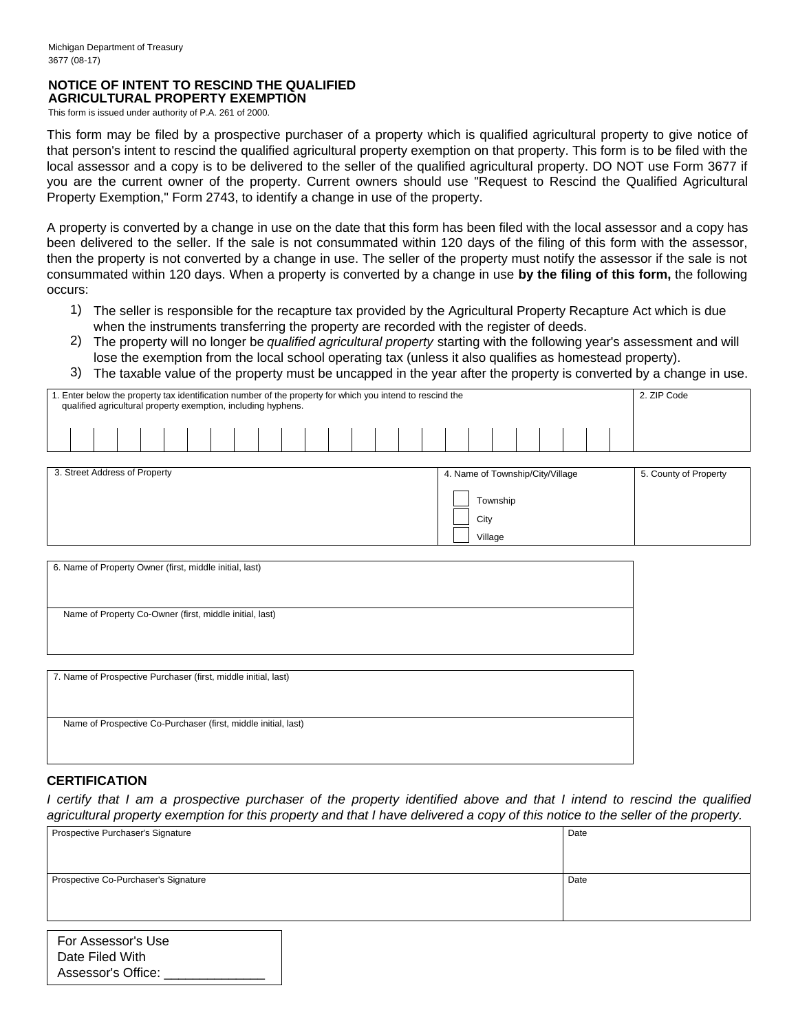#### **NOTICE OF INTENT TO RESCIND THE QUALIFIED AGRICULTURAL PROPERTY EXEMPTION**

This form is issued under authority of P.A. 261 of 2000.

This form may be filed by a prospective purchaser of a property which is qualified agricultural property to give notice of that person's intent to rescind the qualified agricultural property exemption on that property. This form is to be filed with the local assessor and a copy is to be delivered to the seller of the qualified agricultural property. DO NOT use Form 3677 if you are the current owner of the property. Current owners should use "Request to Rescind the Qualified Agricultural Property Exemption," Form 2743, to identify a change in use of the property.

A property is converted by a change in use on the date that this form has been filed with the local assessor and a copy has been delivered to the seller. If the sale is not consummated within 120 days of the filing of this form with the assessor, then the property is not converted by a change in use. The seller of the property must notify the assessor if the sale is not consummated within 120 days. When a property is converted by a change in use **by the filing of this form,** the following occurs:

- The seller is responsible for the recapture tax provided by the Agricultural Property Recapture Act which is due 1) when the instruments transferring the property are recorded with the register of deeds.
- The property will no longer be *qualified agricultural property* starting with the following year's assessment and will 2) lose the exemption from the local school operating tax (unless it also qualifies as homestead property).
- The taxable value of the property must be uncapped in the year after the property is converted by a change in use. 3)

| 1. Enter below the property tax identification number of the property for which you intend to rescind the<br>qualified agricultural property exemption, including hyphens. |  |  |  |  |  |  |  |  |  |  | 2. ZIP Code |  |  |  |  |   |  |  |      |
|----------------------------------------------------------------------------------------------------------------------------------------------------------------------------|--|--|--|--|--|--|--|--|--|--|-------------|--|--|--|--|---|--|--|------|
|                                                                                                                                                                            |  |  |  |  |  |  |  |  |  |  |             |  |  |  |  |   |  |  |      |
|                                                                                                                                                                            |  |  |  |  |  |  |  |  |  |  |             |  |  |  |  |   |  |  |      |
|                                                                                                                                                                            |  |  |  |  |  |  |  |  |  |  |             |  |  |  |  | . |  |  | ____ |

| 3. Street Address of Property | 4. Name of Township/City/Village | 5. County of Property |
|-------------------------------|----------------------------------|-----------------------|
|                               | Township<br>City<br>Village      |                       |

| 6. Name of Property Owner (first, middle initial, last)        |  |
|----------------------------------------------------------------|--|
| Name of Property Co-Owner (first, middle initial, last)        |  |
| 7. Name of Prospective Purchaser (first, middle initial, last) |  |
| Name of Prospective Co-Purchaser (first, middle initial, last) |  |

# **CERTIFICATION**

*I certify that I am a prospective purchaser of the property identified above and that I intend to rescind the qualified agricultural property exemption for this property and that I have delivered a copy of this notice to the seller of the property.*

| Prospective Purchaser's Signature    | Date |  |  |
|--------------------------------------|------|--|--|
|                                      |      |  |  |
|                                      |      |  |  |
| Prospective Co-Purchaser's Signature | Date |  |  |
|                                      |      |  |  |
|                                      |      |  |  |
|                                      |      |  |  |

| For Assessor's Use |  |
|--------------------|--|
| Date Filed With    |  |
| Assessor's Office: |  |